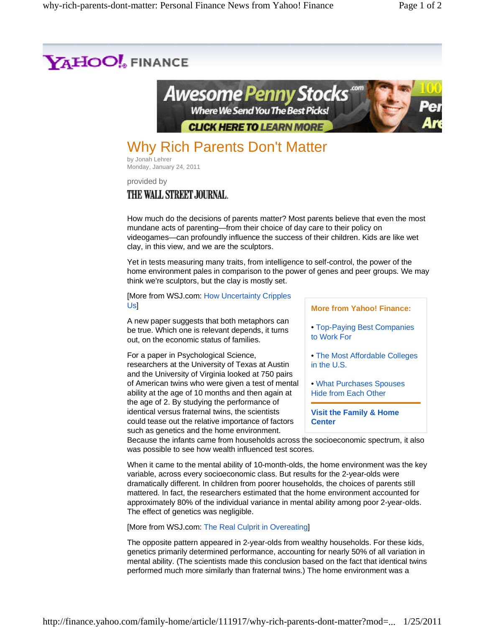

by Jonah Lehrer Monday, January 24, 2011

provided by THE WALL STREET JOURNAL.

How much do the decisions of parents matter? Most parents believe that even the most mundane acts of parenting—from their choice of day care to their policy on videogames—can profoundly influence the success of their children. Kids are like wet clay, in this view, and we are the sculptors.

Yet in tests measuring many traits, from intelligence to self-control, the power of the home environment pales in comparison to the power of genes and peer groups. We may think we're sculptors, but the clay is mostly set.

[More from WSJ.com: How Uncertainty Cripples U<sub>s</sub>

A new paper suggests that both metaphors can be true. Which one is relevant depends, it turns out, on the economic status of families.

For a paper in Psychological Science, researchers at the University of Texas at Austin and the University of Virginia looked at 750 pairs of American twins who were given a test of mental ability at the age of 10 months and then again at the age of 2. By studying the performance of identical versus fraternal twins, the scientists could tease out the relative importance of factors such as genetics and the home environment.

**More from Yahoo! Finance:**

- Top-Paying Best Companies to Work For
- The Most Affordable Colleges in the U.S.
- What Purchases Spouses Hide from Each Other

**Visit the Family & Home Center**

Because the infants came from households across the socioeconomic spectrum, it also was possible to see how wealth influenced test scores.

When it came to the mental ability of 10-month-olds, the home environment was the key variable, across every socioeconomic class. But results for the 2-year-olds were dramatically different. In children from poorer households, the choices of parents still mattered. In fact, the researchers estimated that the home environment accounted for approximately 80% of the individual variance in mental ability among poor 2-year-olds. The effect of genetics was negligible.

[More from WSJ.com: The Real Culprit in Overeating]

The opposite pattern appeared in 2-year-olds from wealthy households. For these kids, genetics primarily determined performance, accounting for nearly 50% of all variation in mental ability. (The scientists made this conclusion based on the fact that identical twins performed much more similarly than fraternal twins.) The home environment was a